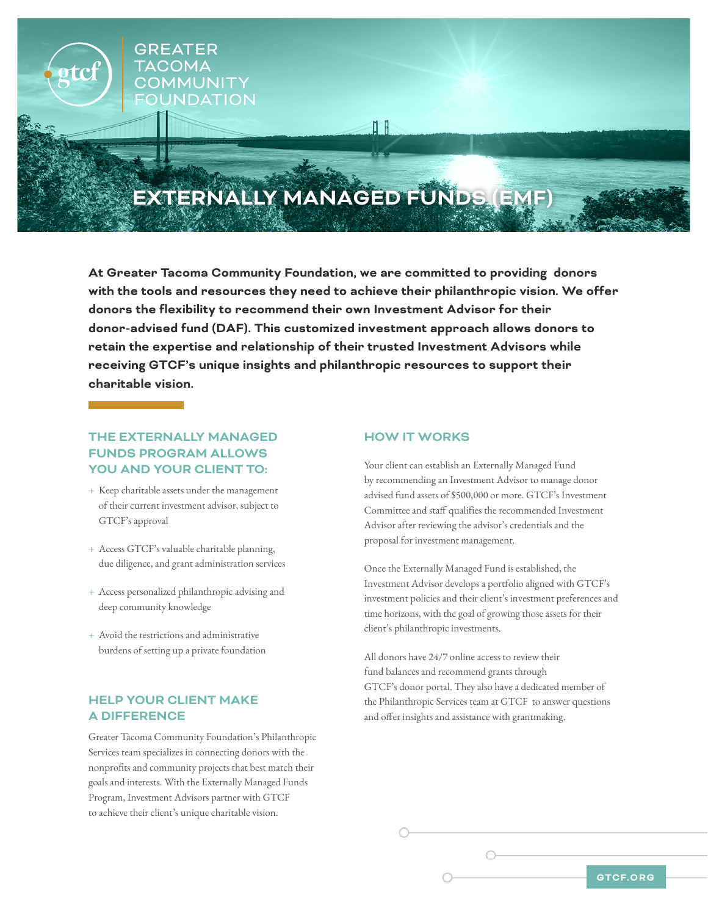

**At Greater Tacoma Community Foundation, we are committed to providing donors with the tools and resources they need to achieve their philanthropic vision. We offer donors the flexibility to recommend their own Investment Advisor for their donor-advised fund (DAF). This customized investment approach allows donors to retain the expertise and relationship of their trusted Investment Advisors while receiving GTCF's unique insights and philanthropic resources to support their charitable vision.** 

## **THE EXTERNALLY MANAGED FUNDS PROGRAM ALLOWS YOU AND YOUR CLIENT TO:**

- + Keep charitable assets under the management of their current investment advisor, subject to GTCF's approval
- + Access GTCF's valuable charitable planning, due diligence, and grant administration services
- + Access personalized philanthropic advising and deep community knowledge
- + Avoid the restrictions and administrative burdens of setting up a private foundation

# **HELP YOUR CLIENT MAKE A DIFFERENCE**

Greater Tacoma Community Foundation's Philanthropic Services team specializes in connecting donors with the nonprofits and community projects that best match their goals and interests. With the Externally Managed Funds Program, Investment Advisors partner with GTCF to achieve their client's unique charitable vision.

### **HOW IT WORKS**

Your client can establish an Externally Managed Fund by recommending an Investment Advisor to manage donor advised fund assets of \$500,000 or more. GTCF's Investment Committee and staff qualifies the recommended Investment Advisor after reviewing the advisor's credentials and the proposal for investment management.

Once the Externally Managed Fund is established, the Investment Advisor develops a portfolio aligned with GTCF's investment policies and their client's investment preferences and time horizons, with the goal of growing those assets for their client's philanthropic investments.

All donors have 24/7 online access to review their fund balances and recommend grants through GTCF's donor portal. They also have a dedicated member of the Philanthropic Services team at GTCF to answer questions and offer insights and assistance with grantmaking.